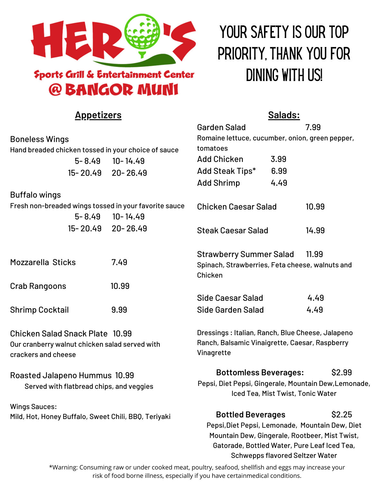

# **Sports Grill & Entertainment Center** @ BANGOR MUNI

# YOUR SAFETY IS OUR TOP PRIORITY, THANK YOU FOR DINING WITH US!

| <u>Appetizers</u>                                                                                               | <u>Salads:</u>    |                                                                                                                                                                                                                                   |      |        |  |
|-----------------------------------------------------------------------------------------------------------------|-------------------|-----------------------------------------------------------------------------------------------------------------------------------------------------------------------------------------------------------------------------------|------|--------|--|
|                                                                                                                 |                   | <b>Garden Salad</b>                                                                                                                                                                                                               |      | 7.99   |  |
| <b>Boneless Wings</b>                                                                                           |                   | Romaine lettuce, cucumber, onion, green pepper,                                                                                                                                                                                   |      |        |  |
| Hand breaded chicken tossed in your choice of sauce                                                             |                   | tomatoes                                                                                                                                                                                                                          |      |        |  |
| $5 - 8.49$                                                                                                      | $10 - 14.49$      | <b>Add Chicken</b>                                                                                                                                                                                                                | 3.99 |        |  |
|                                                                                                                 | 15-20.49 20-26.49 | Add Steak Tips*                                                                                                                                                                                                                   | 6.99 |        |  |
|                                                                                                                 |                   | <b>Add Shrimp</b>                                                                                                                                                                                                                 | 4.49 |        |  |
| <b>Buffalo wings</b>                                                                                            |                   |                                                                                                                                                                                                                                   |      |        |  |
| Fresh non-breaded wings tossed in your favorite sauce                                                           |                   | <b>Chicken Caesar Salad</b><br>10.99                                                                                                                                                                                              |      |        |  |
| $5 - 8.49$                                                                                                      | $10 - 14.49$      |                                                                                                                                                                                                                                   |      |        |  |
| 15-20.49                                                                                                        | $20 - 26.49$      | <b>Steak Caesar Salad</b>                                                                                                                                                                                                         |      | 14.99  |  |
|                                                                                                                 |                   | <b>Strawberry Summer Salad</b>                                                                                                                                                                                                    |      | 11.99  |  |
| <b>Mozzarella Sticks</b>                                                                                        | 7.49              | Spinach, Strawberries, Feta cheese, walnuts and<br>Chicken                                                                                                                                                                        |      |        |  |
| <b>Crab Rangoons</b>                                                                                            | 10.99             |                                                                                                                                                                                                                                   |      |        |  |
|                                                                                                                 |                   | <b>Side Caesar Salad</b>                                                                                                                                                                                                          |      | 4.49   |  |
| <b>Shrimp Cocktail</b>                                                                                          | 9.99              | Side Garden Salad                                                                                                                                                                                                                 |      | 4.49   |  |
| <b>Chicken Salad Snack Plate 10.99</b><br>Our cranberry walnut chicken salad served with<br>crackers and cheese |                   | Dressings: Italian, Ranch, Blue Cheese, Jalapeno                                                                                                                                                                                  |      |        |  |
|                                                                                                                 |                   | Ranch, Balsamic Vinaigrette, Caesar, Raspberry<br>Vinagrette                                                                                                                                                                      |      |        |  |
| Roasted Jalapeno Hummus 10.99<br>Served with flatbread chips, and veggies                                       |                   | <b>Bottomless Beverages:</b>                                                                                                                                                                                                      |      | \$2.99 |  |
|                                                                                                                 |                   | Pepsi, Diet Pepsi, Gingerale, Mountain Dew, Lemonade,<br>Iced Tea, Mist Twist, Tonic Water                                                                                                                                        |      |        |  |
| <b>Wings Sauces:</b>                                                                                            |                   |                                                                                                                                                                                                                                   |      |        |  |
| Mild, Hot, Honey Buffalo, Sweet Chili, BBQ, Teriyaki                                                            |                   | \$2.25<br><b>Bottled Beverages</b><br>Pepsi, Diet Pepsi, Lemonade, Mountain Dew, Diet<br>Mountain Dew, Gingerale, Rootbeer, Mist Twist,<br>Gatorade, Bottled Water, Pure Leaf Iced Tea,<br><b>Schwepps flavored Seltzer Water</b> |      |        |  |
|                                                                                                                 |                   |                                                                                                                                                                                                                                   |      |        |  |

\*Warning: Consuming raw or under cooked meat, poultry, seafood, shellfish and eggs may increase your risk of food borne illness, especially if you have certainmedical conditions.